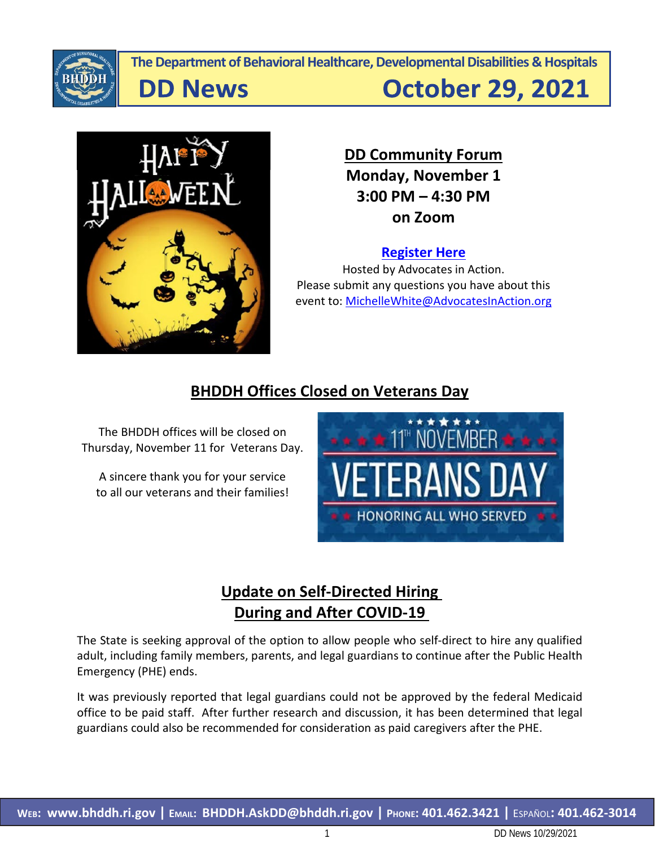

**The Department of Behavioral Healthcare, Developmental Disabilities & Hospitals**

**DD News** 

**October 29, 2021** 



**DD Community Forum Monday, November 1 3:00 PM – 4:30 PM on Zoom**

### **[Register Here](https://us02web.zoom.us/webinar/register/8416222159110/WN__Ay2eNlNTwCgg2xGXTigXg)**

Hosted by Advocates in Action. Please submit any questions you have about this event to: [MichelleWhite@AdvocatesInAction.org](mailto:MichelleWhite@AdvocatesInAction.org)

# **BHDDH Offices Closed on Veterans Day**

The BHDDH offices will be closed on Thursday, November 11 for Veterans Day.

A sincere thank you for your service to all our veterans and their families!



# **Update on Self-Directed Hiring During and After COVID-19**

The State is seeking approval of the option to allow people who self-direct to hire any qualified adult, including family members, parents, and legal guardians to continue after the Public Health Emergency (PHE) ends.

It was previously reported that legal guardians could not be approved by the federal Medicaid office to be paid staff. After further research and discussion, it has been determined that legal guardians could also be recommended for consideration as paid caregivers after the PHE.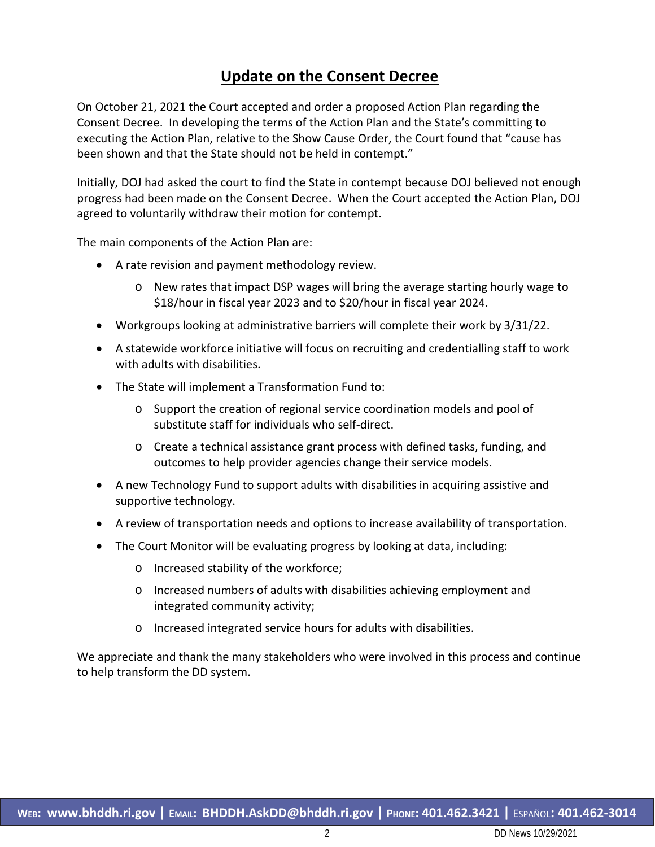### **Update on the Consent Decree**

On October 21, 2021 the Court accepted and order a proposed Action Plan regarding the Consent Decree. In developing the terms of the Action Plan and the State's committing to executing the Action Plan, relative to the Show Cause Order, the Court found that "cause has been shown and that the State should not be held in contempt."

Initially, DOJ had asked the court to find the State in contempt because DOJ believed not enough progress had been made on the Consent Decree. When the Court accepted the Action Plan, DOJ agreed to voluntarily withdraw their motion for contempt.

The main components of the Action Plan are:

- A rate revision and payment methodology review.
	- o New rates that impact DSP wages will bring the average starting hourly wage to \$18/hour in fiscal year 2023 and to \$20/hour in fiscal year 2024.
- Workgroups looking at administrative barriers will complete their work by 3/31/22.
- A statewide workforce initiative will focus on recruiting and credentialling staff to work with adults with disabilities.
- The State will implement a Transformation Fund to:
	- o Support the creation of regional service coordination models and pool of substitute staff for individuals who self-direct.
	- o Create a technical assistance grant process with defined tasks, funding, and outcomes to help provider agencies change their service models.
- A new Technology Fund to support adults with disabilities in acquiring assistive and supportive technology.
- A review of transportation needs and options to increase availability of transportation.
- The Court Monitor will be evaluating progress by looking at data, including:
	- o Increased stability of the workforce;
	- o Increased numbers of adults with disabilities achieving employment and integrated community activity;
	- o Increased integrated service hours for adults with disabilities.

We appreciate and thank the many stakeholders who were involved in this process and continue to help transform the DD system.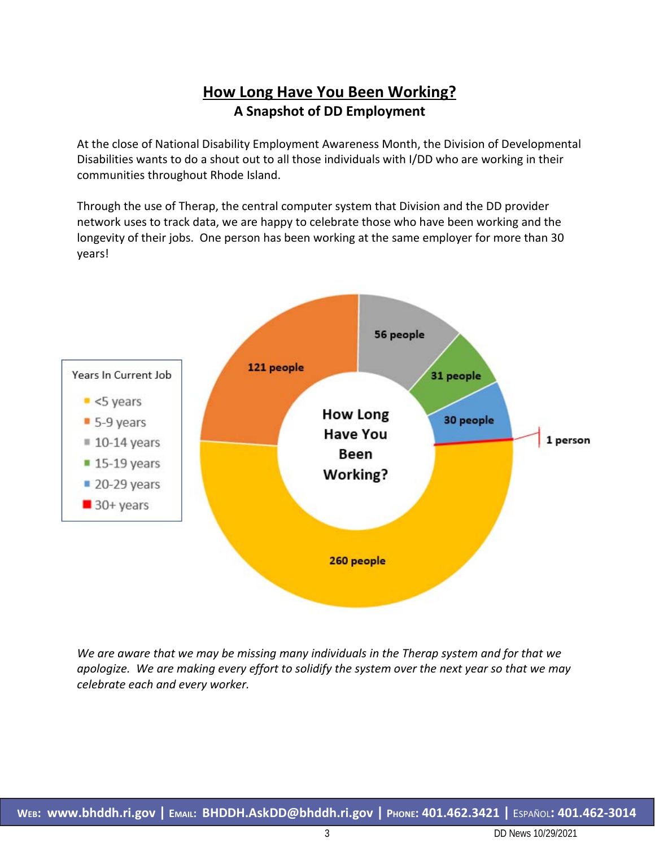# **How Long Have You Been Working? A Snapshot of DD Employment**

At the close of National Disability Employment Awareness Month, the Division of Developmental Disabilities wants to do a shout out to all those individuals with I/DD who are working in their communities throughout Rhode Island.

Through the use of Therap, the central computer system that Division and the DD provider network uses to track data, we are happy to celebrate those who have been working and the longevity of their jobs. One person has been working at the same employer for more than 30 years!



*We are aware that we may be missing many individuals in the Therap system and for that we apologize. We are making every effort to solidify the system over the next year so that we may celebrate each and every worker.*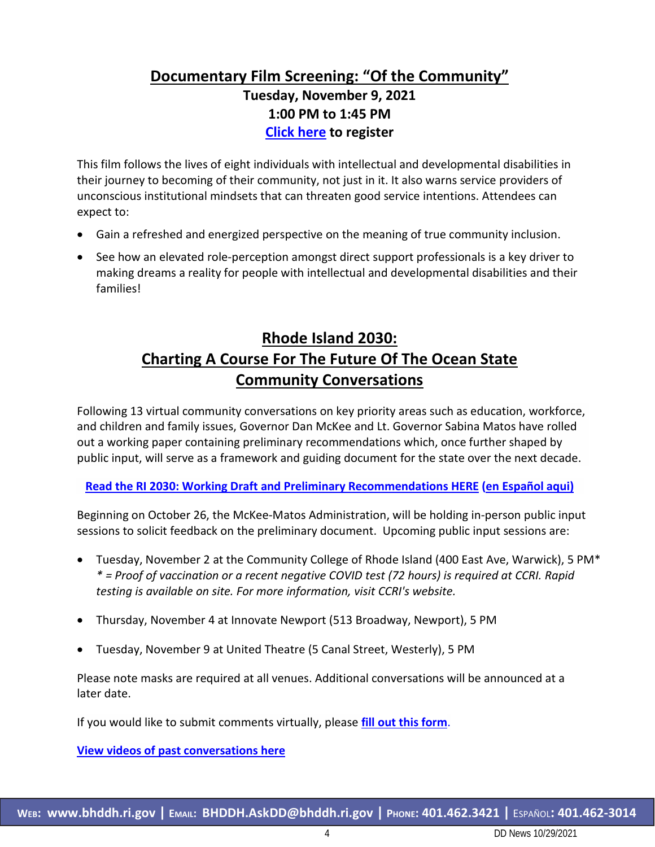# **Documentary Film Screening: "Of the Community" Tuesday, November 9, 2021 1:00 PM to 1:45 PM [Click here](https://elsevier.zoom.us/webinar/register/WN_7mb3BPQAQkG0LdbDkBEkqw) to register**

This film follows the lives of eight individuals with intellectual and developmental disabilities in their journey to becoming of their community, not just in it. It also warns service providers of unconscious institutional mindsets that can threaten good service intentions. Attendees can expect to:

- Gain a refreshed and energized perspective on the meaning of true community inclusion.
- See how an elevated role-perception amongst direct support professionals is a key driver to making dreams a reality for people with intellectual and developmental disabilities and their families!

# **Rhode Island 2030: Charting A Course For The Future Of The Ocean State Community Conversations**

Following 13 virtual community conversations on key priority areas such as education, workforce, and children and family issues, Governor Dan McKee and Lt. Governor Sabina Matos have rolled out a working paper containing preliminary recommendations which, once further shaped by public input, will serve as a framework and guiding document for the state over the next decade.

**[Read the RI 2030: Working Draft and Preliminary Recommendations HERE](https://www.ri2030.com/_files/public/RI%202030_final.pdf) [\(en Español aqui\)](https://ri2030.com/_files/public/RI%202030_sp.pdf)** 

Beginning on October 26, the McKee-Matos Administration, will be holding in-person public input sessions to solicit feedback on the preliminary document. Upcoming public input sessions are:

- Tuesday, November 2 at the Community College of Rhode Island (400 East Ave, Warwick), 5 PM\* *\* = Proof of vaccination or a recent negative COVID test (72 hours) is required at CCRI. Rapid testing is available on site. For more information, visit CCRI's website.*
- Thursday, November 4 at Innovate Newport (513 Broadway, Newport), 5 PM
- Tuesday, November 9 at United Theatre (5 Canal Street, Westerly), 5 PM

Please note masks are required at all venues. Additional conversations will be announced at a later date.

If you would like to submit comments virtually, please **[fill out this form](https://docs.google.com/forms/d/e/1FAIpQLSe3cgRe67lN2PM2WhbjUbqV01Ax-HZ8DyNYPjD3_U3be5FH7A/viewform)**.

**[View videos of past conversations here](https://www.ri2030.com/community-conversations/)**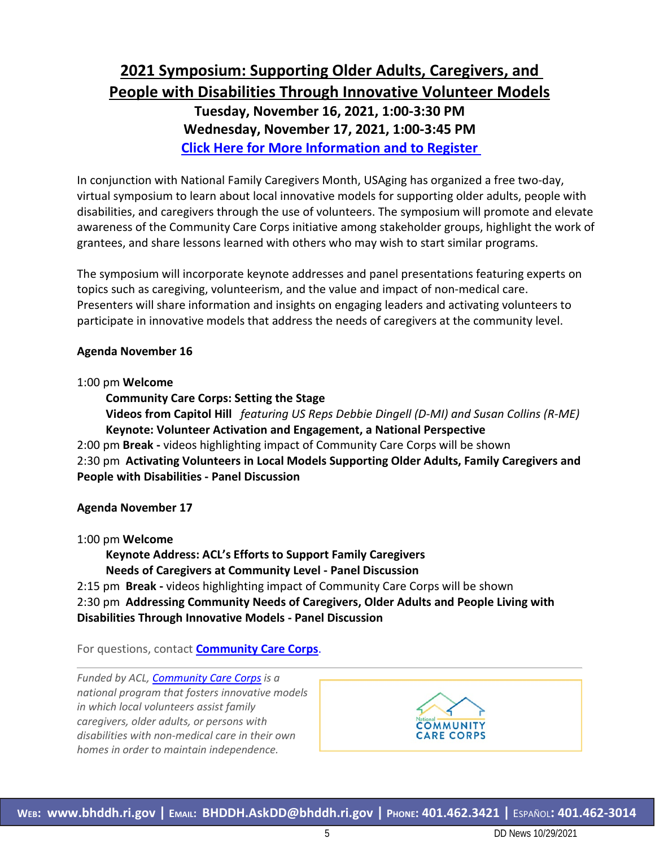# **2021 Symposium: Supporting Older Adults, Caregivers, and People with Disabilities Through Innovative Volunteer Models**

**Tuesday, November 16, 2021, 1:00-3:30 PM Wednesday, November 17, 2021, 1:00-3:45 PM [Click Here for More Information and to Register](https://www.communitycarecorps.org/2021-symposium)** 

In conjunction with National Family Caregivers Month, USAging has organized a free two-day, virtual symposium to learn about local innovative models for supporting older adults, people with disabilities, and caregivers through the use of volunteers. The symposium will promote and elevate awareness of the Community Care Corps initiative among stakeholder groups, highlight the work of grantees, and share lessons learned with others who may wish to start similar programs.

The symposium will incorporate keynote addresses and panel presentations featuring experts on topics such as caregiving, volunteerism, and the value and impact of non-medical care. Presenters will share information and insights on engaging leaders and activating volunteers to participate in innovative models that address the needs of caregivers at the community level.

#### **Agenda November 16**

#### 1:00 pm **Welcome**

**Community Care Corps: Setting the Stage** 

**Videos from Capitol Hill** *featuring US Reps Debbie Dingell (D-MI) and Susan Collins (R-ME)* **Keynote: Volunteer Activation and Engagement, a National Perspective**  2:00 pm **Break -** videos highlighting impact of Community Care Corps will be shown

2:30 pm **Activating Volunteers in Local Models Supporting Older Adults, Family Caregivers and People with Disabilities - Panel Discussion**

#### **Agenda November 17**

1:00 pm **Welcome** 

**Keynote Address: ACL's Efforts to Support Family Caregivers Needs of Caregivers at Community Level - Panel Discussion** 

2:15 pm **Break -** videos highlighting impact of Community Care Corps will be shown 2:30 pm **Addressing Community Needs of Caregivers, Older Adults and People Living with Disabilities Through Innovative Models - Panel Discussion** 

For questions, contact **[Community Care Corps](mailto:info@communitycarecorps.org?subject=)**.

*Funded by ACL, [Community Care Corps](https://urldefense.com/v3/__https:/click.connect.hhs.gov/?qs=37c0a516b93dba8f24e30a9344490e62d4e859b40d65b7e38f72593816dba10251127877cdaa6b82b58060192c8c5463669ce1f3a8444cea__;!!KKphUJtCzQ!YwTAbkf4rjfXp3uz7JCCHssgxdMkKsLee_ued8AKBfaDgmG3aFEIheWt2OS6Qh_UJQpT2qJ7gBI$) is a national program that fosters innovative models in which local volunteers assist family caregivers, older adults, or persons with disabilities with non-medical care in their own homes in order to maintain independence.*

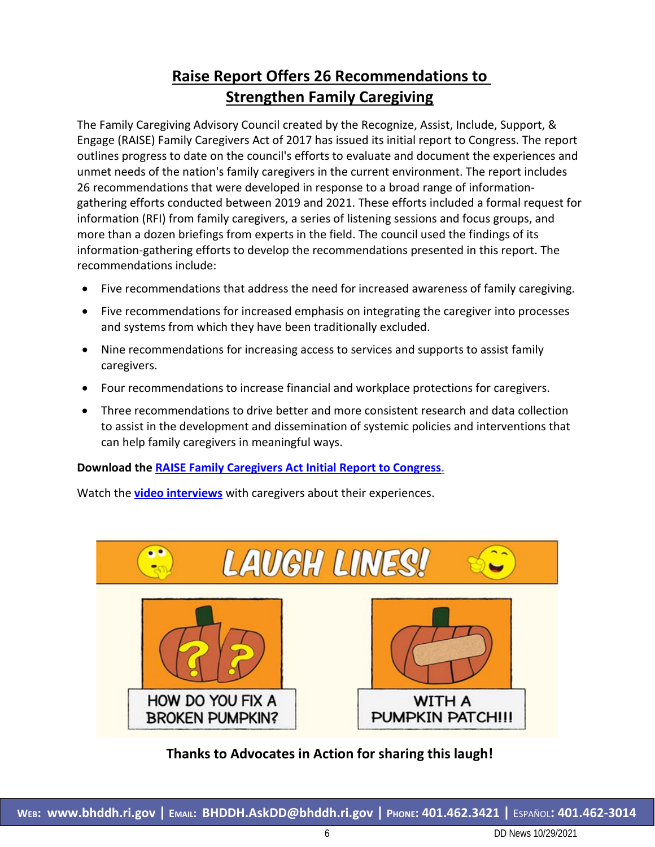# **Raise Report Offers 26 Recommendations to Strengthen Family Caregiving**

The Family Caregiving Advisory Council created by the Recognize, Assist, Include, Support, & Engage (RAISE) Family Caregivers Act of 2017 has issued its initial report to Congress. The report outlines progress to date on the council's efforts to evaluate and document the experiences and unmet needs of the nation's family caregivers in the current environment. The report includes 26 recommendations that were developed in response to a broad range of informationgathering efforts conducted between 2019 and 2021. These efforts included a formal request for information (RFI) from family caregivers, a series of listening sessions and focus groups, and more than a dozen briefings from experts in the field. The council used the findings of its information-gathering efforts to develop the recommendations presented in this report. The recommendations include:

- Five recommendations that address the need for increased awareness of family caregiving.
- Five recommendations for increased emphasis on integrating the caregiver into processes and systems from which they have been traditionally excluded.
- Nine recommendations for increasing access to services and supports to assist family caregivers.
- Four recommendations to increase financial and workplace protections for caregivers.
- Three recommendations to drive better and more consistent research and data collection to assist in the development and dissemination of systemic policies and interventions that can help family caregivers in meaningful ways.

### **Download the [RAISE Family Caregivers Act Initial Report to Congress.](https://acl.gov/sites/default/files/RAISE-Initial%20Report%20To%20Congress%202021_Final.pdf)**

Watch the **[video interviews](https://acl.gov/node/7527)** with caregivers about their experiences.



### **Thanks to Advocates in Action for sharing this laugh!**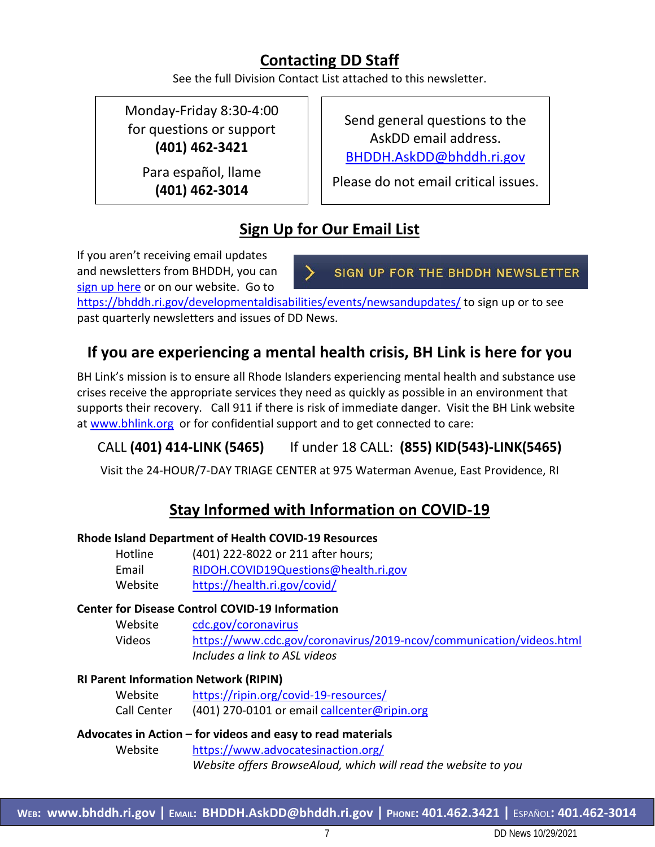# **Contacting DD Staff**

See the full Division Contact List attached to this newsletter.

Monday-Friday 8:30-4:00 for questions or support **(401) 462-3421**

> Para español, llame **(401) 462-3014**

Send general questions to the AskDD email address. [BHDDH.AskDD@bhddh.ri.gov](mailto:BHDDH.AskDD@bhddh.ri.gov)

Please do not email critical issues.

# **Sign Up for Our Email List**

If you aren't receiving email updates and newsletters from BHDDH, you can [sign up here](https://visitor.r20.constantcontact.com/manage/optin?v=001eqFath_w1XkYArH2x0GW8bc7GVDqsDyWPJIEAFzZva8gz_TPfL5twTJBMX31wroDseZVoKARm5p2-EIVxblCOz0_xHCYHhe-czFB5H3Zw4I%3D) or on our website. Go to

SIGN UP FOR THE BHDDH NEWSLETTER

<https://bhddh.ri.gov/developmentaldisabilities/events/newsandupdates/> to sign up or to see past quarterly newsletters and issues of DD News.

# **If you are experiencing a mental health crisis, BH Link is here for you**

BH Link's mission is to ensure all Rhode Islanders experiencing mental health and substance use crises receive the appropriate services they need as quickly as possible in an environment that supports their recovery. Call 911 if there is risk of immediate danger. Visit the BH Link website at [www.bhlink.org](http://www.bhlink.org/) or for confidential support and to get connected to care:

# CALL **(401) 414-LINK (5465)** If under 18 CALL: **(855) KID(543)-LINK(5465)**

Visit the 24-HOUR/7-DAY TRIAGE CENTER at 975 Waterman Avenue, East Providence, RI

# **Stay Informed with Information on COVID-19**

### **Rhode Island Department of Health COVID-19 Resources**

| Hotline | (401) 222-8022 or 211 after hours;   |
|---------|--------------------------------------|
| Email   | RIDOH.COVID19Questions@health.ri.gov |
| Website | https://health.ri.gov/covid/         |

#### **Center for Disease Control COVID-19 Information**

Website [cdc.gov/coronavirus](http://www.cdc.gov/coronavirus)  Videos <https://www.cdc.gov/coronavirus/2019-ncov/communication/videos.html>  *Includes a link to ASL videos*

### **RI Parent Information Network (RIPIN)**

| Website     | https://ripin.org/covid-19-resources/        |
|-------------|----------------------------------------------|
| Call Center | (401) 270-0101 or email callcenter@ripin.org |

#### **Advocates in Action – for videos and easy to read materials** Website <https://www.advocatesinaction.org/> *Website offers BrowseAloud, which will read the website to you*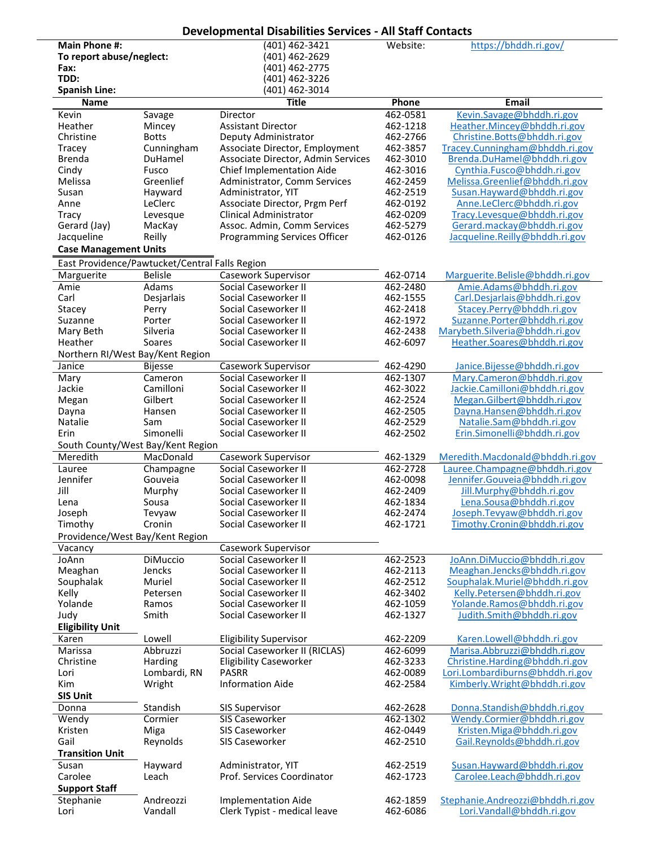|                                                |                            | <b>Developmental Disabilities Services - All Staff Contacts</b> |                      |                                                                   |
|------------------------------------------------|----------------------------|-----------------------------------------------------------------|----------------------|-------------------------------------------------------------------|
| <b>Main Phone #:</b>                           |                            | (401) 462-3421                                                  | Website:             | https://bhddh.ri.gov/                                             |
| To report abuse/neglect:                       |                            | (401) 462-2629                                                  |                      |                                                                   |
| Fax:<br>TDD:                                   |                            | (401) 462-2775<br>(401) 462-3226                                |                      |                                                                   |
| <b>Spanish Line:</b>                           |                            | (401) 462-3014                                                  |                      |                                                                   |
| <b>Name</b>                                    |                            | <b>Title</b>                                                    | Phone                | <b>Email</b>                                                      |
| Kevin                                          | Savage                     | Director                                                        | 462-0581             | Kevin.Savage@bhddh.ri.gov                                         |
| Heather                                        | Mincey                     | <b>Assistant Director</b>                                       | 462-1218             | Heather.Mincey@bhddh.ri.gov                                       |
| Christine<br>Tracey                            | <b>Botts</b><br>Cunningham | Deputy Administrator<br>Associate Director, Employment          | 462-2766<br>462-3857 | Christine.Botts@bhddh.ri.gov<br>Tracey.Cunningham@bhddh.ri.gov    |
| <b>Brenda</b>                                  | DuHamel                    | Associate Director, Admin Services                              | 462-3010             | Brenda.DuHamel@bhddh.ri.gov                                       |
| Cindy                                          | Fusco                      | Chief Implementation Aide                                       | 462-3016             | Cynthia.Fusco@bhddh.ri.gov                                        |
| Melissa                                        | Greenlief                  | Administrator, Comm Services                                    | 462-2459             | Melissa.Greenlief@bhddh.ri.gov                                    |
| Susan                                          | Hayward                    | Administrator, YIT                                              | 462-2519             | Susan.Hayward@bhddh.ri.gov                                        |
| Anne                                           | LeClerc                    | Associate Director, Prgm Perf                                   | 462-0192             | Anne.LeClerc@bhddh.ri.gov                                         |
| <b>Tracy</b><br>Gerard (Jay)                   | Levesque<br>MacKay         | <b>Clinical Administrator</b><br>Assoc. Admin, Comm Services    | 462-0209<br>462-5279 | Tracy.Levesque@bhddh.ri.gov<br>Gerard.mackay@bhddh.ri.gov         |
| Jacqueline                                     | Reilly                     | Programming Services Officer                                    | 462-0126             | Jacqueline.Reilly@bhddh.ri.gov                                    |
| <b>Case Management Units</b>                   |                            |                                                                 |                      |                                                                   |
| East Providence/Pawtucket/Central Falls Region |                            |                                                                 |                      |                                                                   |
| Marguerite                                     | <b>Belisle</b>             | <b>Casework Supervisor</b>                                      | 462-0714             | Marguerite.Belisle@bhddh.ri.gov                                   |
| Amie                                           | Adams                      | Social Caseworker II                                            | 462-2480             | Amie.Adams@bhddh.ri.gov                                           |
| Carl                                           | Desjarlais                 | Social Caseworker II                                            | 462-1555             | Carl.Desjarlais@bhddh.ri.gov                                      |
| Stacey                                         | Perry                      | Social Caseworker II                                            | 462-2418             | Stacey.Perry@bhddh.ri.gov                                         |
| Suzanne<br>Mary Beth                           | Porter<br>Silveria         | Social Caseworker II<br>Social Caseworker II                    | 462-1972<br>462-2438 | Suzanne.Porter@bhddh.ri.gov<br>Marybeth.Silveria@bhddh.ri.gov     |
| Heather                                        | Soares                     | Social Caseworker II                                            | 462-6097             | Heather.Soares@bhddh.ri.gov                                       |
| Northern RI/West Bay/Kent Region               |                            |                                                                 |                      |                                                                   |
| Janice                                         | <b>Bijesse</b>             | Casework Supervisor                                             | 462-4290             | Janice.Bijesse@bhddh.ri.gov                                       |
| Mary                                           | Cameron                    | Social Caseworker II                                            | 462-1307             | Mary.Cameron@bhddh.ri.gov                                         |
| Jackie                                         | Camilloni                  | Social Caseworker II                                            | 462-3022             | Jackie.Camilloni@bhddh.ri.gov                                     |
| Megan                                          | Gilbert                    | Social Caseworker II                                            | 462-2524             | Megan.Gilbert@bhddh.ri.gov                                        |
| Dayna<br>Natalie                               | Hansen<br>Sam              | Social Caseworker II<br>Social Caseworker II                    | 462-2505<br>462-2529 | Dayna.Hansen@bhddh.ri.gov<br>Natalie.Sam@bhddh.ri.gov             |
| Erin                                           | Simonelli                  | Social Caseworker II                                            | 462-2502             | Erin.Simonelli@bhddh.ri.gov                                       |
| South County/West Bay/Kent Region              |                            |                                                                 |                      |                                                                   |
| Meredith                                       | MacDonald                  | Casework Supervisor                                             | 462-1329             | Meredith.Macdonald@bhddh.ri.gov                                   |
| Lauree                                         | Champagne                  | Social Caseworker II                                            | 462-2728             | Lauree.Champagne@bhddh.ri.gov                                     |
| Jennifer                                       | Gouveia                    | Social Caseworker II                                            | 462-0098<br>462-2409 | Jennifer.Gouveia@bhddh.ri.gov                                     |
| Jill<br>Lena                                   | Murphy<br>Sousa            | Social Caseworker II<br>Social Caseworker II                    | 462-1834             | Jill.Murphy@bhddh.ri.gov<br>Lena.Sousa@bhddh.ri.gov               |
| Joseph                                         | Tevyaw                     | Social Caseworker II                                            | 462-2474             | Joseph.Tevyaw@bhddh.ri.gov                                        |
| Timothy                                        | Cronin                     | Social Caseworker II                                            | 462-1721             | Timothy.Cronin@bhddh.ri.gov                                       |
| Providence/West Bay/Kent Region                |                            |                                                                 |                      |                                                                   |
| Vacancy                                        |                            | Casework Supervisor                                             |                      |                                                                   |
| JoAnn                                          | <b>DiMuccio</b>            | Social Caseworker II                                            | 462-2523             | JoAnn.DiMuccio@bhddh.ri.gov                                       |
| Meaghan<br>Souphalak                           | Jencks<br>Muriel           | Social Caseworker II<br>Social Caseworker II                    | 462-2113<br>462-2512 | Meaghan.Jencks@bhddh.ri.gov<br>Souphalak.Muriel@bhddh.ri.gov      |
| Kelly                                          | Petersen                   | Social Caseworker II                                            | 462-3402             | Kelly.Petersen@bhddh.ri.gov                                       |
| Yolande                                        | Ramos                      | Social Caseworker II                                            | 462-1059             | Yolande.Ramos@bhddh.ri.gov                                        |
| Judy                                           | Smith                      | Social Caseworker II                                            | 462-1327             | Judith.Smith@bhddh.ri.gov                                         |
| <b>Eligibility Unit</b>                        |                            |                                                                 |                      |                                                                   |
| Karen                                          | Lowell                     | <b>Eligibility Supervisor</b>                                   | 462-2209             | Karen.Lowell@bhddh.ri.gov                                         |
| Marissa                                        | Abbruzzi                   | Social Caseworker II (RICLAS)                                   | 462-6099             | Marisa.Abbruzzi@bhddh.ri.gov                                      |
| Christine<br>Lori                              | Harding<br>Lombardi, RN    | <b>Eligibility Caseworker</b><br><b>PASRR</b>                   | 462-3233<br>462-0089 | Christine.Harding@bhddh.ri.gov<br>Lori.Lombardiburns@bhddh.ri.gov |
| Kim                                            | Wright                     | <b>Information Aide</b>                                         | 462-2584             | Kimberly.Wright@bhddh.ri.gov                                      |
| <b>SIS Unit</b>                                |                            |                                                                 |                      |                                                                   |
| Donna                                          | Standish                   | <b>SIS Supervisor</b>                                           | 462-2628             | Donna.Standish@bhddh.ri.gov                                       |
| Wendy                                          | Cormier                    | SIS Caseworker                                                  | 462-1302             | Wendy.Cormier@bhddh.ri.gov                                        |
| Kristen                                        | Miga                       | <b>SIS Caseworker</b>                                           | 462-0449             | Kristen.Miga@bhddh.ri.gov                                         |
| Gail                                           | Reynolds                   | SIS Caseworker                                                  | 462-2510             | Gail.Reynolds@bhddh.ri.gov                                        |
| <b>Transition Unit</b><br>Susan                | Hayward                    | Administrator, YIT                                              | 462-2519             | Susan.Hayward@bhddh.ri.gov                                        |
| Carolee                                        | Leach                      | Prof. Services Coordinator                                      | 462-1723             | Carolee.Leach@bhddh.ri.gov                                        |
| <b>Support Staff</b>                           |                            |                                                                 |                      |                                                                   |
| Stephanie                                      | Andreozzi                  | <b>Implementation Aide</b>                                      | 462-1859             | Stephanie.Andreozzi@bhddh.ri.gov                                  |
| Lori                                           | Vandall                    | Clerk Typist - medical leave                                    | 462-6086             | Lori.Vandall@bhddh.ri.gov                                         |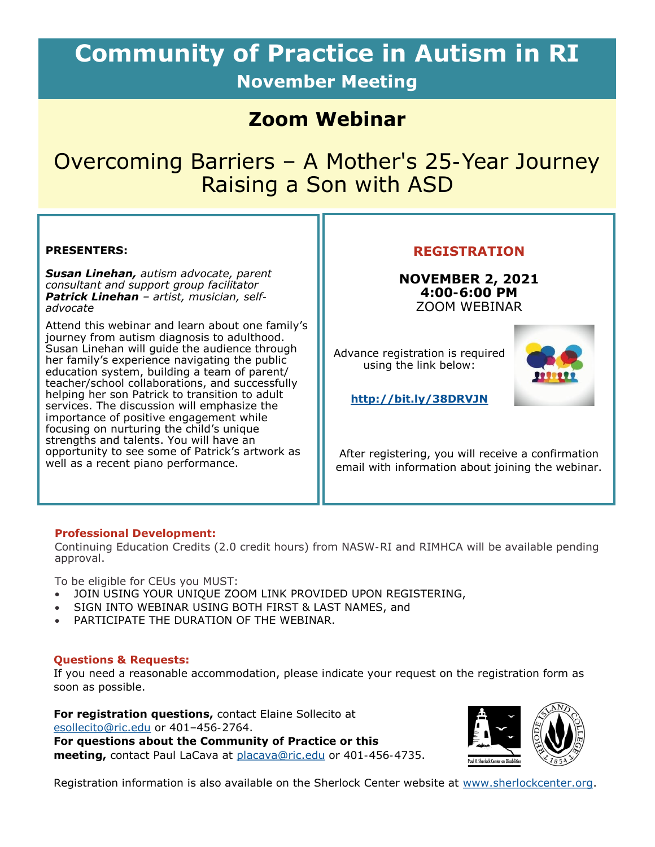# **Community of Practice in Autism in RI November Meeting**

# **Zoom Webinar**

# Overcoming Barriers – A Mother's 25-Year Journey Raising a Son with ASD

#### **PRESENTERS:**

*Susan Linehan, autism advocate, parent consultant and support group facilitator Patrick Linehan – artist, musician, selfadvocate* 

Attend this webinar and learn about one family's journey from autism diagnosis to adulthood. Susan Linehan will guide the audience through her family's experience navigating the public education system, building a team of parent/ teacher/school collaborations, and successfully helping her son Patrick to transition to adult services. The discussion will emphasize the importance of positive engagement while focusing on nurturing the child's unique strengths and talents. You will have an opportunity to see some of Patrick's artwork as well as a recent piano performance.

#### **REGISTRATION**

**NOVEMBER 2, 2021 4:00-6:00 PM** ZOOM WEBINAR

Advance registration is required using the link below:



**<http://bit.ly/38DRVJN>**

After registering, you will receive a confirmation email with information about joining the webinar.

#### **Professional Development:**

Continuing Education Credits (2.0 credit hours) from NASW-RI and RIMHCA will be available pending approval.

To be eligible for CEUs you MUST:

- JOIN USING YOUR UNIQUE ZOOM LINK PROVIDED UPON REGISTERING,
- SIGN INTO WEBINAR USING BOTH FIRST & LAST NAMES, and
- PARTICIPATE THE DURATION OF THE WEBINAR.

#### **Questions & Requests:**

If you need a reasonable accommodation, please indicate your request on the registration form as soon as possible.

**For registration questions,** contact Elaine Sollecito at [esollecito@ric.edu o](mailto:esollecito@ric.edu)r 401–456-2764. **For questions about the Community of Practice or this meeting,** contact Paul LaCava at [placava@ric.edu](mailto:placava@ric.edu) or 401-456-4735.



Registration information is also available on the Sherlock Center website at [www.sherlockcenter.org.](http://www.sherlockcenter.org)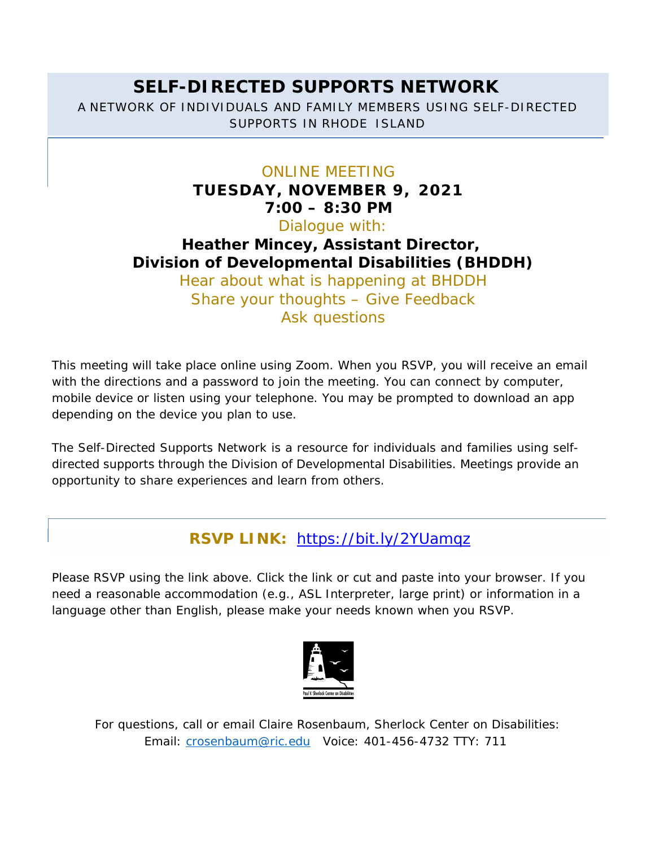# **SELF-DIRECTED SUPPORTS NETWORK**  A NETWORK OF INDIVIDUALS AND FAMILY MEMBERS USING SELF-DIRECTED SUPPORTS IN RHODE ISLAND

### ONLINE MEETING

**TUESDAY, NOVEMBER 9, 2021 7:00 – 8:30 PM**  Dialogue with: **Heather Mincey, Assistant Director, Division of Developmental Disabilities (BHDDH)**  Hear about what is happening at BHDDH Share your thoughts – Give Feedback Ask questions

This meeting will take place online using Zoom. When you RSVP, you will receive an email with the directions and a password to join the meeting. You can connect by computer, mobile device or listen using your telephone. You may be prompted to download an app depending on the device you plan to use.

The Self-Directed Supports Network is a resource for individuals and families using selfdirected supports through the Division of Developmental Disabilities. Meetings provide an opportunity to share experiences and learn from others.

# **RSVP LINK:** https://bit.ly/2YUamqz

Please RSVP using the link above. Click the link or cut and paste into your browser. If you need a reasonable accommodation (e.g., ASL Interpreter, large print) or information in a language other than English, please make your needs known when you RSVP.



For questions, call or email Claire Rosenbaum, Sherlock Center on Disabilities: Email: crosenbaum@ric.edu Voice: 401-456-4732 TTY: 711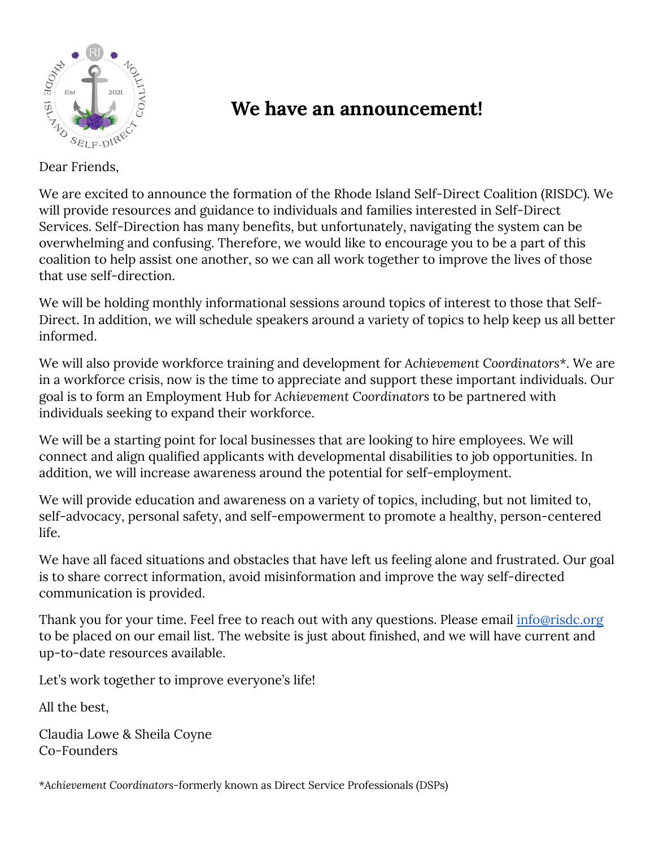

# **We have an announcement!**

### Dear Friends,

We are excited to announce the formation of the Rhode Island Self-Direct Coalition (RISDC). We will provide resources and guidance to individuals and families interested in Self-Direct Services. Self-Direction has many benefits, but unfortunately, navigating the system can be overwhelming and confusing. Therefore, we would like to encourage you to be a part of this coalition to help assist one another, so we can all work together to improve the lives of those that use self-direction.

We will be holding monthly informational sessions around topics of interest to those that Self-Direct. In addition, we will schedule speakers around a variety of topics to help keep us all better informed.

We will also provide workforce training and development for *Achievement Coordinators\**. We are in a workforce crisis, now is the time to appreciate and support these important individuals. Our goal is to form an Employment Hub for *Achievement Coordinators* to be partnered with individuals seeking to expand their workforce.

We will be a starting point for local businesses that are looking to hire employees. We will connect and align qualified applicants with developmental disabilities to job opportunities. In addition, we will increase awareness around the potential for self-employment.

We will provide education and awareness on a variety of topics, including, but not limited to, self-advocacy, personal safety, and self-empowerment to promote a healthy, person-centered life.

We have all faced situations and obstacles that have left us feeling alone and frustrated. Our goal is to share correct information, avoid misinformation and improve the way self-directed communication is provided.

Thank you for your time. Feel free to reach out with any questions. Please email *info@risdc.org* to be placed on our email list. The website is just about finished, and we will have current and up-to-date resources available.

Let's work together to improve everyone's life!

All the best,

Claudia Lowe & Sheila Coyne Co-Founders

\**Achievement Coordinators-*formerly known as Direct Service Professionals (DSPs)